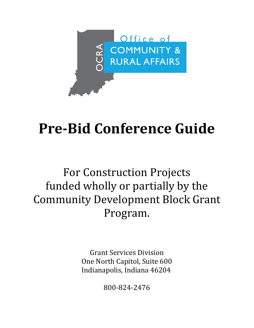

# **Pre-Bid Conference Guide**

## For Construction Projects funded wholly or partially by the Community Development Block Grant Program.

Grant Services Division One North Capitol, Suite 600 Indianapolis, Indiana 46204

800-824-2476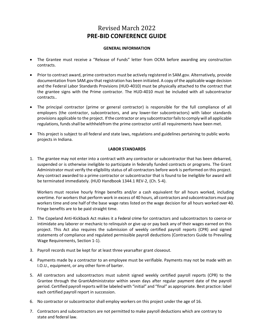### Revised March 2022 **PRE-BID CONFERENCE GUIDE**

#### **GENERAL INFORMATION**

- The Grantee must receive a "Release of Funds" letter from OCRA before awarding any construction contracts.
- Prior to contract award, prime contractors must be actively registered in SAM.gov. Alternatively, provide documentation from SAM.gov that registration has been initiated. A copy of the applicable wage decision and the Federal Labor Standards Provisions (HUD-4010) must be physically attached to the contract that the grantee signs with the Prime contractor. The HUD-4010 must be included with all subcontractor contracts..
- The principal contractor (prime or general contractor) is responsible for the full compliance of all employers (the contractor, subcontractors, and any lower-tier subcontractors) with labor standards provisions applicable to the project. If the contractor or any subcontractor fails to comply will all applicable regulations, funds shall be withheld from the prime contractor until all requirements have been met.
- This project is subject to all federal and state laws, regulations and guidelines pertaining to public works projects in Indiana.

#### **LABOR STANDARDS**

1. The grantee may not enter into a contract with any contractor or subcontractor that has been debarred, suspended or is otherwise ineligible to participate in federally funded contracts or programs. The Grant Administrator must verify the eligibility status of all contractors before work is performed on this project. Any contract awarded to a prime contractor or subcontractor that is found to be ineligible for award will be terminated immediately. (HUD Handbook 1344.1 REV-2, (Ch. 5-4).

Workers must receive hourly fringe benefits and/or a cash equivalent for all hours worked, including overtime. For workers that perform work in excess of 40 hours, all contractors and subcontractors must pay workers time and one half of the base wage rates listed on the wage decision for all hours worked over 40. Fringe benefits are to be paid straight time.

- 2. The Copeland Anti-Kickback Act makes it a Federal crime for contractors and subcontractors to coerce or intimidate any laborer or mechanic to relinquish or give up or pay back any of their wages earned on this project. This Act also requires the submission of weekly certified payroll reports (CPR) and signed statements of compliance and regulated permissible payroll deductions (Contractors Guide to Prevailing Wage Requirements, Section 1-1).
- 3. Payroll records must be kept for at least three yearsafter grant closeout.
- 4. Payments made by a contractor to an employee must be verifiable. Payments may not be made with an I.O.U., equipment, or any other form of barter.
- 5. All contractors and subcontractors must submit signed weekly certified payroll reports (CPR) to the Grantee through the GrantAdministrator within seven days after regular payment date of the payroll period. Certified payroll reports will be labeled with "initial" and "final" as appropriate. Best practice: label each certified payroll report in succession.
- 6. No contractor or subcontractor shall employ workers on this project under the age of 16.
- 7. Contractors and subcontractors are not permitted to make payroll deductions which are contrary to state and federal law.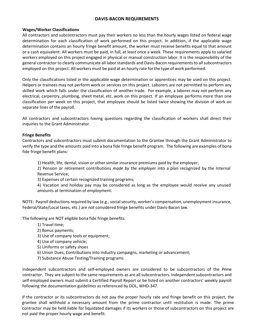#### **DAVIS-BACON REQUIREMENTS**

#### **Wages/Worker Classifications**

All contractors and subcontractors must pay their workers no less than the hourly wages listed on federal wage determination for each classification of work performed on this project. In addition, if the applicable wage determination contains an hourly fringe benefit amount, the worker must receive benefits equal to that amount or a cash equivalent. All workers must be paid, in full, at least once a week. These requirements apply to salaried workers employed on this project engaged in physical or manual construction labor. It is the responsibility of the general contractor to clearly communicate all labor standards and Davis-Bacon requirements to all subcontractors employed on this project. All workers must be paid at an hourly rate forthe type of work performed.

Only the classifications listed in the applicable wage determination or apprentices may be used on this project. Helpers or trainees may not perform work or services on this project. Laborers are not permitted to perform any skilled work which falls under the classification of another trade. For example, a laborer may not perform any electrical, carpentry, plumbing, sheet metal, etc. work on this project. If an employee performs more than one classification per week on this project, that employee should be listed twice showing the division of work on separate lines of the payroll.

All contractors and subcontractors having questions regarding the classification of workers shall direct their inquiries to the Grant Administrator.

#### **Fringe Benefits**

Contractors and subcontractors must submit documentation to the Grantee through the Grant Administrator to verify the type and the amounts paid into a bona fide fringe benefit program. The following are examples of bona fide fringe benefit plans:

1) Health, life, dental, vision or other similar insurance premiums paid by the employer;

2) Pension or retirement contributions *made by the employer* into a plan recognized by the Internal Revenue Service;

3) Expenses of certain recognized training programs;

4) Vacation and holiday pay may be considered as long as the employee would receive any unused amounts at termination of employment.

NOTE: Payroll deductions required by law (e.g., social security, worker's compensation, unemployment insurance, Federal/State/Local taxes, etc.) are not considered fringe benefits under Davis-Bacon law.

The following are NOT eligible bona fide fringe benefits:

- 1) Travel time;
- 2) Bonus payments;
- 3) Use of company tools or equipment;
- 4) Use of company vehicle;
- 5) Uniforms or safety shoes
- 6) Union Dues; Contributions into industry campaigns, marketing or advancement;
- 7) Substance Abuse Testing/Training programs

Independent subcontractors and self-employed owners are considered to be subcontractors of the Prime contractor. They are subject to the same requirements as are all subcontractors. Independent subcontractors and self-employed owners must submit a Certified Payroll Report or be listed on another contractors' weekly payroll following the documentation guidelines as referenced by DOL, WHD-347.

If the contractor or its subcontractors do not pay the proper hourly rate and fringe benefit on this project, the grantee shall withhold a necessary amount from the prime contractor until restitution is made. The prime contractor may be held liable for liquidated damages if its workers or those of subcontractors on this project are not paid the proper hourly wage and benefit.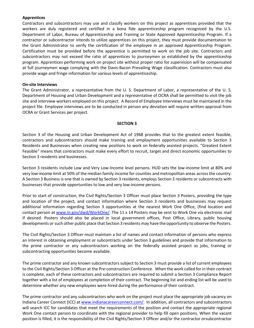#### **Apprentices**

Contractors and subcontractors may use and classify workers on this project as apprentices provided that the workers are duly registered and certified in a bona fide apprenticeship program recognized by the U.S. Department of Labor, Bureau of Apprenticeship and Training or State Approved Apprenticeship Program. If a contractor or subcontractor intends to utilize apprentices on this project, they must provide documentation to the Grant Administrator to verify the certification of the employee in an approved Apprenticeship Program. Certification must be provided before the apprentice is permitted to work on the job site. Contractors and subcontractors may not exceed the ratio of apprentices to journeymen as established by the apprenticeship program. Apprentices performing work on project site without proper ratio for supervision will be compensated at full journeymen wage complying with the Davis-Bacon Prevailing Wage classification. Contractors must also provide wage and fringe information for various levels of apprenticeship.

#### **On-site Interviews**

The Grant Administrator, a representative from the U. S. Department of Labor, a representative of the U. S. Department of Housing and Urban Development and a representative of OCRA shall be permitted to visit the job site and interview workers employed on this project. A Record of Employee Interviews must be maintained in the project file. Employee interviews are to be conducted in person any deviation will require written approval from OCRA or Grant Services per project.

#### **SECTION 3**

Section 3 of the Housing and Urban Development Act of 1968 provides that to the greatest extent feasible, contractors and subcontractors should make training and employment opportunities available to Section 3 Residents and Businesses when creating new positions to work on federally assisted projects. "Greatest Extent Feasible" means that contractors must make every effort to recruit, target and direct economic opportunities to Section 3 residents and businesses.

Section 3 residents include Low and Very Low-Income level persons. HUD sets the low-income limit at 80% and very low-income limit at 50% of the median family income for counties and metropolitan areas acrossthe country. A Section 3 Business is one that is owned by Section 3 residents, employs Section 3 residents or subcontracts with businesses that provide opportunities to low and very low-income persons.

Prior to start of construction, the Civil Rights/Section 3 Officer must place Section 3 Posters, providing the type and location of the project, and contact information where Section 3 residents and businesses may request additional information regarding Section 3 opportunities at the nearest Work One Office, (find location and contact person at [www.in.gov/dwd/WorkOne/.](http://www.in.gov/dwd/WorkOne/) The 11 x 14 Posters may be sent to Work One via electronic mail if desired. Posters should also be placed in local government offices, Post Office, Library, public housing developments or such other public place that Section 3 residents may have the opportunity to observe the Posters.

The Civil Rights/Section 3 Officer must maintain a list of names and contact information of persons who express an interest in obtaining employment or subcontracts under Section 3 guidelines and provide that information to the prime contractor or any subcontractors working on the federally assisted project as jobs, training or subcontracting opportunities become available.

The prime contractor and any known subcontractors subject to Section 3 must provide a list of current employees to the Civil Rights/Section 3 Officer at the Pre-construction Conference. When the work called for in their contract is complete, each of these contractors and subcontractors are required to submit a Section 3 Compliance Report together with a list of employees at completion of their contract. The beginning list and ending list will be used to determine whether any new employees were hired during the performance of their contract.

The prime contractor and any subcontractors who work on the project must place the appropriate job vacancy on Indiana Career Connect (ICC) at [www.indianacareerconnect.com/.](http://www.indianacareerconnect.com/) In addition, all contractors and subcontractors will search ICC for candidates that meet the requirements of the position and contact the appropriate regional Work One contact person to coordinate with the regional provider to help fill open positions. When the vacant position is filled, it is the responsibility of the Civil Rights/Section 3 Officer and/or the contractor orsubcontractor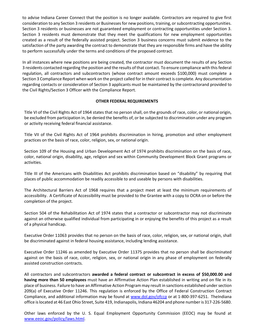to advise Indiana Career Connect that the position is no longer available. Contractors are required to give first consideration to any Section 3 residents or Businesses for new positions, training, or subcontracting opportunities. Section 3 residents or businesses are not guaranteed employment or contracting opportunities under Section 3. Section 3 residents must demonstrate that they meet the qualifications for new employment opportunities created as a result of the federally assisted project. Section 3 business concerns must submit evidence to the satisfaction of the party awarding the contract to demonstrate that they are responsible firms and have the ability to perform successfully under the terms and conditions of the proposed contract.

In all instances where new positions are being created, the contractor must document the results of any Section 3 residents contacted regarding the position and the results of that contact. To ensure compliance with thisfederal regulation, all contractors and subcontractors (whose contract amount exceeds \$100,000) must complete a Section 3 Compliance Report when work on the project called for in their contract is complete. Any documentation regarding contacts or consideration of Section 3 applicants must be maintained by the contractorand provided to the Civil Rights/Section 3 Officer with the Compliance Report.

#### **OTHER FEDERAL REQUIREMENTS**

Title VI of the Civil Rights Act of 1964 states that no person shall, on the grounds of race, color, or national origin, be excluded from participation in, be denied the benefits of, or be subjected to discrimination under any program or activity receiving federal financial assistance.

Title VII of the Civil Rights Act of 1964 prohibits discrimination in hiring, promotion and other employment practices on the basis of race, color, religion, sex, or national origin.

Section 109 of the Housing and Urban Development Act of 1974 prohibits discrimination on the basis of race, color, national origin, disability, age, religion and sex within Community Development Block Grant programs or activities.

Title III of the Americans with Disabilities Act prohibits discrimination based on "disability" by requiring that places of public accommodation be readily accessible to and useable by persons with disabilities.

The Architectural Barriers Act of 1968 requires that a project meet at least the minimum requirements of accessibility. A Certificate of Accessibility must be provided to the Grantee with a copy to OCRA on or before the completion of the project.

Section 504 of the Rehabilitation Act of 1974 states that a contractor or subcontractor may not discriminate against an otherwise qualified individual from participating in or enjoying the benefits of this project as a result of a physical handicap.

Executive Order 11063 provides that no person on the basis of race, color, religion, sex, or national origin, shall be discriminated against in federal housing assistance, including lending assistance.

Executive Order 11246 as amended by Executive Order 11375 provides that no person shall be discriminated against on the basis of race, color, religion, sex, or national origin in any phase of employment on federally assisted construction contracts.

All contractors and subcontractors **awarded a federal contract or subcontract in excess of \$50,000.00 and having more than 50 employees** must have an Affirmative Action Plan established in writing and on file in its place of business. Failure to have an Affirmative Action Program may result in sanctions established undersection 209(a) of Executive Order 11246. This regulation is enforced by the Office of Federal Construction Contract Compliance, and additional information may be found at [www.dol.gov/ofccp](http://www.dol.gov/ofccp) or at 1-800-397-6251. TheIndiana office islocated at 46 East Ohio Street, Suite 419, Indianapolis, Indiana 46204 and phone numberis 317-226-5680.

Other laws enforced by the U. S. Equal Employment Opportunity Commission (EEOC) may be found at [www.eeoc.gov/policy/laws.html.](http://www.eeoc.gov/policy/laws.html)